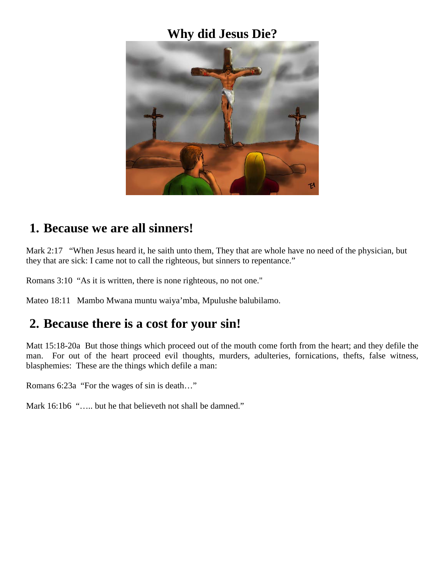## **Why did Jesus Die?**



## **1. Because we are all sinners!**

Mark 2:17 "When Jesus heard it, he saith unto them, They that are whole have no need of the physician, but they that are sick: I came not to call the righteous, but sinners to repentance."

Romans 3:10 "As it is written, there is none righteous, no not one."

Mateo 18:11 Mambo Mwana muntu waiya'mba, Mpulushe balubilamo.

## **2. Because there is a cost for your sin!**

Matt 15:18-20a But those things which proceed out of the mouth come forth from the heart; and they defile the man. For out of the heart proceed evil thoughts, murders, adulteries, fornications, thefts, false witness, blasphemies: These are the things which defile a man:

Romans 6:23a "For the wages of sin is death…"

Mark 16:1b6 "..... but he that believeth not shall be damned."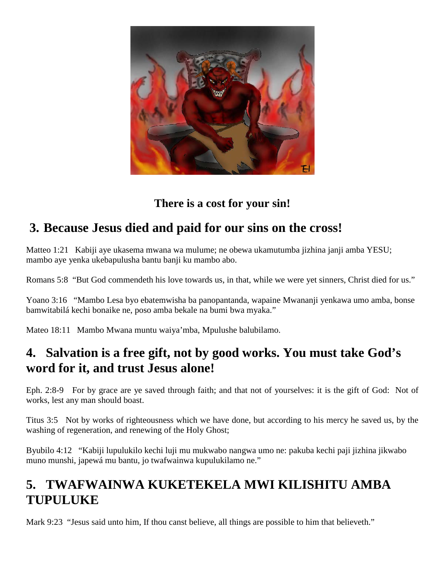

#### **There is a cost for your sin!**

# **3. Because Jesus died and paid for our sins on the cross!**

Matteo 1:21 Kabiji aye ukasema mwana wa mulume; ne obewa ukamutumba jizhina janji amba YESU; mambo aye yenka ukebapulusha bantu banji ku mambo abo.

Romans 5:8 "But God commendeth his love towards us, in that, while we were yet sinners, Christ died for us."

Yoano 3:16 "Mambo Lesa byo ebatemwisha ba panopantanda, wapaine Mwananji yenkawa umo amba, bonse bamwitabilá kechi bonaike ne, poso amba bekale na bumi bwa myaka."

Mateo 18:11 Mambo Mwana muntu waiya'mba, Mpulushe balubilamo.

## **4. Salvation is a free gift, not by good works. You must take God's word for it, and trust Jesus alone!**

Eph. 2:8-9 For by grace are ye saved through faith; and that not of yourselves: it is the gift of God: Not of works, lest any man should boast.

Titus 3:5 Not by works of righteousness which we have done, but according to his mercy he saved us, by the washing of regeneration, and renewing of the Holy Ghost;

Byubilo 4:12 "Kabiji lupulukilo kechi luji mu mukwabo nangwa umo ne: pakuba kechi paji jizhina jikwabo muno munshi, japewá mu bantu, jo twafwainwa kupulukilamo ne."

# **5. TWAFWAINWA KUKETEKELA MWI KILISHITU AMBA TUPULUKE**

Mark 9:23 "Jesus said unto him, If thou canst believe, all things are possible to him that believeth."